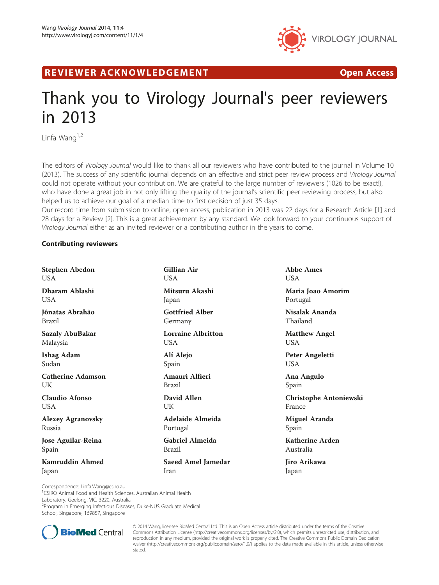

R EVI EW E R ACKNOW L EDG EM EN T Open Access

# Thank you to Virology Journal's peer reviewers in 2013

Linfa Wang $1,2$ 

The editors of Virology Journal would like to thank all our reviewers who have contributed to the journal in Volume 10 (2013). The success of any scientific journal depends on an effective and strict peer review process and Virology Journal could not operate without your contribution. We are grateful to the large number of reviewers (1026 to be exact!), who have done a great job in not only lifting the quality of the journal's scientific peer reviewing process, but also helped us to achieve our goal of a median time to first decision of just 35 days.

Our record time from submission to online, open access, publication in 2013 was 22 days for a Research Article [1] and 28 days for a Review [2]. This is a great achievement by any standard. We look forward to your continuous support of Virology Journal either as an invited reviewer or a contributing author in the years to come.

## Contributing reviewers

| <b>Stephen Abedon</b>     | <b>Gillian Air</b>        | <b>Abbe Ames</b>              |
|---------------------------|---------------------------|-------------------------------|
| <b>USA</b>                | <b>USA</b>                | <b>USA</b>                    |
| Dharam Ablashi            | Mitsuru Akashi            | Maria Joao Amorim             |
| <b>USA</b>                | Japan                     | Portugal                      |
| Jônatas Abrahão           | <b>Gottfried Alber</b>    | Nisalak Ananda                |
| <b>Brazil</b>             | Germany                   | Thailand                      |
| <b>Sazaly AbuBakar</b>    | <b>Lorraine Albritton</b> | <b>Matthew Angel</b>          |
| Malaysia                  | USA.                      | <b>USA</b>                    |
| <b>Ishag Adam</b>         | Alí Alejo                 | Peter Angeletti               |
| Sudan                     | Spain                     | <b>USA</b>                    |
| <b>Catherine Adamson</b>  | Amauri Alfieri            | Ana Angulo                    |
| UK                        | <b>Brazil</b>             | Spain                         |
| <b>Claudio Afonso</b>     | David Allen               | <b>Christophe Antoniewski</b> |
| <b>USA</b>                | UK                        | France                        |
| <b>Alexey Agranovsky</b>  | Adelaide Almeida          | <b>Miguel Aranda</b>          |
| Russia                    | Portugal                  | Spain                         |
| <b>Jose Aguilar-Reina</b> | <b>Gabriel Almeida</b>    | <b>Katherine Arden</b>        |
| Spain                     | <b>Brazil</b>             | Australia                     |
| Kamruddin Ahmed           | <b>Saeed Amel Jamedar</b> | Jiro Arikawa                  |
| Japan                     | Iran                      | Japan                         |

Correspondence: [Linfa.Wang@csiro.au](mailto:Linfa.Wang@csiro.au) <sup>1</sup> <sup>1</sup>CSIRO Animal Food and Health Sciences, Australian Animal Health

Laboratory, Geelong, VIC, 3220, Australia

2 Program in Emerging Infectious Diseases, Duke-NUS Graduate Medical

School, Singapore, 169857, Singapore



© 2014 Wang; licensee BioMed Central Ltd. This is an Open Access article distributed under the terms of the Creative Commons Attribution License [\(http://creativecommons.org/licenses/by/2.0\)](http://creativecommons.org/licenses/by/2.0), which permits unrestricted use, distribution, and reproduction in any medium, provided the original work is properly cited. The Creative Commons Public Domain Dedication waiver [\(http://creativecommons.org/publicdomain/zero/1.0/\)](http://creativecommons.org/publicdomain/zero/1.0/) applies to the data made available in this article, unless otherwise stated.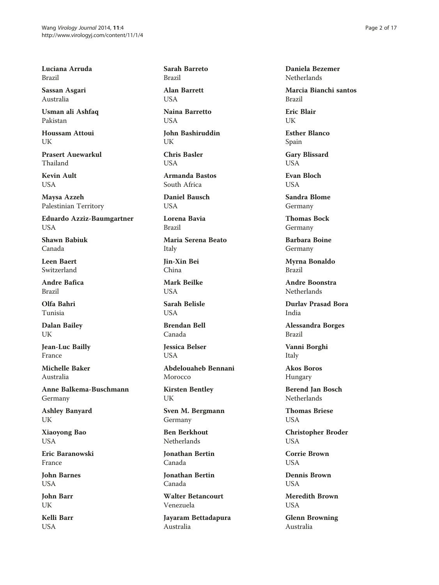Luciana Arruda Brazil

Sassan Asgari Australia

Usman ali Ashfaq Pakistan

Houssam Attoui UK

Prasert Auewarkul Thailand

Kevin Ault USA

Maysa Azzeh Palestinian Territory

Eduardo Azziz-Baumgartner USA

Shawn Babiuk Canada

Leen Baert Switzerland

Andre Bafica Brazil

Olfa Bahri Tunisia

Dalan Bailey UK

Jean-Luc Bailly France

Michelle Baker Australia

Anne Balkema-Buschmann Germany

Ashley Banyard UK

Xiaoyong Bao USA

Eric Baranowski France

John Barnes USA

John Barr UK

Kelli Barr USA

Sarah Barreto Brazil

Alan Barrett USA

Naina Barretto **USA** 

John Bashiruddin UK

Chris Basler **I** ISA

Armanda Bastos South Africa

Daniel Bausch **USA** 

Lorena Bavia Brazil

Maria Serena Beato Italy

Jin-Xin Bei China

Mark Beilke **USA** 

Sarah Belisle **USA** 

Brendan Bell Canada

Jessica Belser **USA** 

Abdelouaheb Bennani Morocco

Kirsten Bentley UK

Sven M. Bergmann Germany

Ben Berkhout Netherlands

Jonathan Bertin Canada

Jonathan Bertin Canada

Walter Betancourt Venezuela

Jayaram Bettadapura Australia

Daniela Bezemer **Netherlands** 

Marcia Bianchi santos Brazil

Eric Blair UK

Esther Blanco Spain

Gary Blissard USA

Evan Bloch **USA** 

Sandra Blome Germany

Thomas Bock Germany

Barbara Boine Germany

Myrna Bonaldo Brazil

Andre Boonstra **Netherlands** 

Durlav Prasad Bora India

Alessandra Borges Brazil

Vanni Borghi Italy

Akos Boros Hungary

Berend Jan Bosch Netherlands

Thomas Briese USA

Christopher Broder USA

Corrie Brown USA

Dennis Brown **USA** 

Meredith Brown USA

Glenn Browning Australia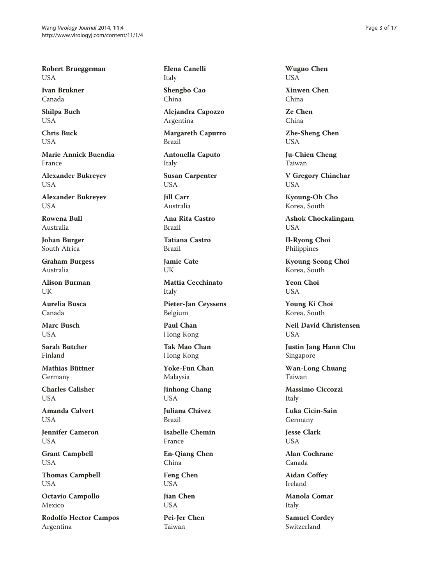Robert Brueggeman USA

Ivan Brukner Canada

Shilpa Buch USA

Chris Buck USA

Marie Annick Buendia France

Alexander Bukreyev USA

Alexander Bukreyev USA

Rowena Bull Australia

Johan Burger South Africa

Graham Burgess Australia

Alison Burman UK

Aurelia Busca Canada

Marc Busch **USA** 

Sarah Butcher Finland

Mathias Büttner Germany

Charles Calisher USA

Amanda Calvert USA

Jennifer Cameron USA

Grant Campbell USA

Thomas Campbell USA

Octavio Campollo Mexico

Rodolfo Hector Campos Argentina

Elena Canelli Italy

Shengbo Cao China

Alejandra Capozzo Argentina

Margareth Capurro Brazil

Antonella Caputo Italy

Susan Carpenter USA

Jill Carr Australia

Ana Rita Castro Brazil

Tatiana Castro Brazil

Jamie Cate UK

Mattia Cecchinato Italy

Pieter-Jan Ceyssens Belgium

Paul Chan Hong Kong

Tak Mao Chan Hong Kong

Yoke-Fun Chan Malaysia

Jinhong Chang USA

Juliana Chávez Brazil

Isabelle Chemin France

En-Qiang Chen China

Feng Chen USA

Jian Chen USA

Pei-Jer Chen Taiwan

Wuguo Chen USA

Xinwen Chen China

Ze Chen China

Zhe-Sheng Chen USA

Ju-Chien Cheng Taiwan

V Gregory Chinchar USA

Kyoung-Oh Cho Korea, South

Ashok Chockalingam USA

Il-Ryong Choi Philippines

Kyoung-Seong Choi Korea, South

Yeon Choi USA

Young Ki Choi Korea, South

Neil David Christensen **USA** 

Justin Jang Hann Chu Singapore

Wan-Long Chuang Taiwan

Massimo Ciccozzi Italy

Luka Cicin-Sain Germany

Jesse Clark USA

Alan Cochrane Canada

Aidan Coffey Ireland

Manola Comar Italy

Samuel Cordey Switzerland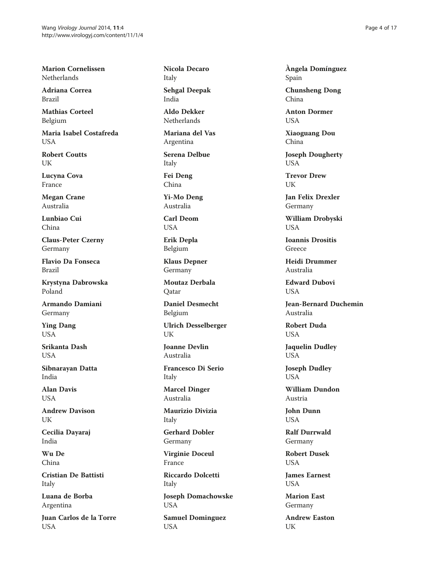Marion Cornelissen Netherlands

Adriana Correa Brazil

Mathias Corteel Belgium

Maria Isabel Costafreda USA

Robert Coutts UK

Lucyna Cova France

Megan Crane Australia

Lunbiao Cui China

Claus-Peter Czerny Germany

Flavio Da Fonseca Brazil

Krystyna Dabrowska Poland

Armando Damiani Germany

Ying Dang **USA** 

Srikanta Dash USA

Sibnarayan Datta India

Alan Davis USA

Andrew Davison UK

Cecilia Dayaraj India

Wu De China

Cristian De Battisti Italy

Luana de Borba Argentina

Juan Carlos de la Torre USA

Nicola Decaro Italy

Sehgal Deepak India

Aldo Dekker Netherlands

Mariana del Vas Argentina

Serena Delbue Italy

Fei Deng China

Yi-Mo Deng Australia

Carl Deom USA

Erik Depla Belgium

Klaus Depner Germany

Moutaz Derbala Qatar

Daniel Desmecht Belgium

Ulrich Desselberger UK

Joanne Devlin Australia

Francesco Di Serio Italy

Marcel Dinger Australia

Maurizio Divizia Italy

Gerhard Dobler Germany

Virginie Doceul France

Riccardo Dolcetti Italy

Joseph Domachowske USA

Samuel Dominguez USA

Àngela Domínguez Spain

Chunsheng Dong China

Anton Dormer **USA** 

Xiaoguang Dou China

Joseph Dougherty USA

Trevor Drew UK

Jan Felix Drexler Germany

William Drobyski USA

Ioannis Drositis Greece

Heidi Drummer Australia

Edward Dubovi **USA** 

Jean-Bernard Duchemin Australia

Robert Duda **USA** 

Jaquelin Dudley USA

Joseph Dudley USA

William Dundon Austria

John Dunn USA

Ralf Durrwald Germany

Robert Dusek USA

James Earnest **USA** 

Marion East Germany

Andrew Easton UK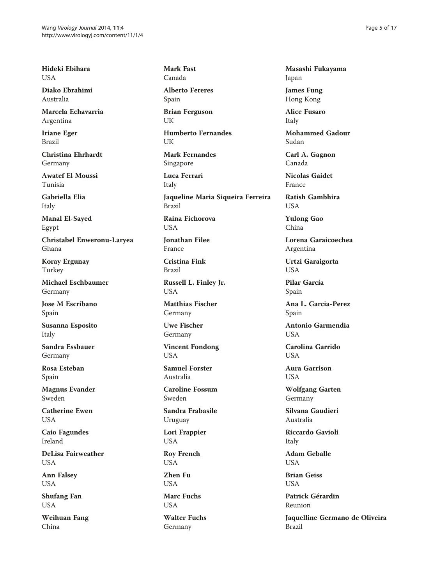Hideki Ebihara USA

Diako Ebrahimi Australia

Marcela Echavarria Argentina

Iriane Eger Brazil

Christina Ehrhardt Germany

Awatef El Moussi Tunisia

Gabriella Elia Italy

Manal El-Sayed Egypt

Christabel Enweronu-Laryea Ghana

Koray Ergunay Turkey

Michael Eschbaumer Germany

Jose M Escribano Spain

Susanna Esposito Italy

Sandra Essbauer Germany

Rosa Esteban Spain

Magnus Evander Sweden

Catherine Ewen USA

Caio Fagundes Ireland

DeLisa Fairweather USA

Ann Falsey USA

Shufang Fan USA

Weihuan Fang China

Mark Fast Canada

Alberto Fereres Spain

Brian Ferguson UK

Humberto Fernandes UK

Mark Fernandes Singapore

Luca Ferrari Italy Jaqueline Maria Siqueira Ferreira Brazil

Raina Fichorova USA

Jonathan Filee France

Cristina Fink Brazil

Russell L. Finley Jr. **USA** 

Matthias Fischer Germany

Uwe Fischer Germany

Vincent Fondong **USA** 

Samuel Forster Australia

Caroline Fossum Sweden

Sandra Frabasile Uruguay

Lori Frappier USA

Roy French USA

Zhen Fu USA

Marc Fuchs **USA** 

Walter Fuchs Germany

Masashi Fukayama Japan

James Fung Hong Kong

Alice Fusaro Italy

Mohammed Gadour Sudan

Carl A. Gagnon Canada

Nicolas Gaidet France

Ratish Gambhira **I** IS A

Yulong Gao China

Lorena Garaicoechea Argentina

Urtzi Garaigorta USA

Pilar García Spain

Ana L. Garcia-Perez Spain

Antonio Garmendia **I** IS A

Carolina Garrido **USA** 

Aura Garrison **USA** 

Wolfgang Garten Germany

Silvana Gaudieri Australia

Riccardo Gavioli Italy

Adam Geballe USA

Brian Geiss **USA** 

Patrick Gérardin Reunion

Jaquelline Germano de Oliveira Brazil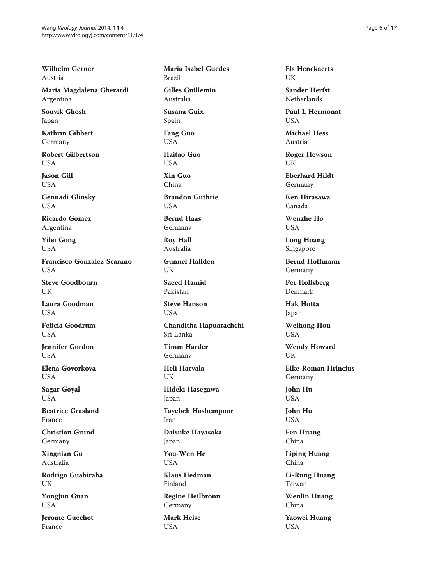Wilhelm Gerner Austria

Maria Magdalena Gherardi Argentina

Souvik Ghosh Japan

Kathrin Gibbert Germany

Robert Gilbertson **I** ISA

Jason Gill USA

Gennadi Glinsky USA

Ricardo Gomez Argentina

Yilei Gong USA

Francisco Gonzalez-Scarano **USA** 

Steve Goodbourn UK

Laura Goodman **USA** 

Felicia Goodrum **USA** 

Jennifer Gordon **USA** 

Elena Govorkova **USA** 

Sagar Goyal USA

Beatrice Grasland France

Christian Grund Germany

Xingnian Gu Australia

Rodrigo Guabiraba UK

Yongjun Guan USA

Jerome Guechot France

Maria Isabel Guedes Brazil

Gilles Guillemin Australia

Susana Guix Spain

Fang Guo USA

Haitao Guo **USA** 

Xin Guo China

Brandon Guthrie **USA** 

Bernd Haas Germany

Roy Hall Australia

Gunnel Hallden UK

Saeed Hamid Pakistan

Steve Hanson USA

Chanditha Hapuarachchi Sri Lanka

Timm Harder Germany

Heli Harvala UK

Hideki Hasegawa Japan

Tayebeh Hashempoor Iran

Daisuke Hayasaka Japan

You-Wen He USA

Klaus Hedman Finland

Regine Heilbronn Germany

Mark Heise USA

Els Henckaerts UK

Sander Herfst Netherlands

Paul L Hermonat **USA** 

Michael Hess Austria

Roger Hewson UK

Eberhard Hildt Germany

Ken Hirasawa Canada

Wenzhe Ho USA

Long Hoang Singapore

Bernd Hoffmann Germany

Per Hollsberg Denmark

Hak Hotta Japan

Weihong Hou USA

Wendy Howard UK

Eike-Roman Hrincius Germany

John Hu USA

John Hu USA

Fen Huang China

Liping Huang China

Li-Rung Huang Taiwan

Wenlin Huang China

Yaowei Huang USA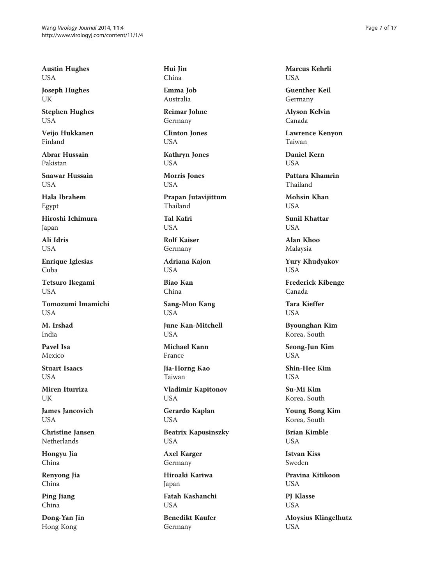Austin Hughes USA

Joseph Hughes UK

Stephen Hughes USA

Veijo Hukkanen Finland

Abrar Hussain Pakistan

Snawar Hussain USA

Hala Ibrahem Egypt

Hiroshi Ichimura Japan

Ali Idris USA

Enrique Iglesias Cuba

Tetsuro Ikegami **USA** 

Tomozumi Imamichi **USA** 

M. Irshad India

Pavel Isa Mexico

Stuart Isaacs **USA** 

Miren Iturriza UK

James Jancovich USA

Christine Jansen Netherlands

Hongyu Jia China

Renyong Jia China

Ping Jiang China

Dong-Yan Jin Hong Kong

Hui Jin China

Emma Job Australia

Reimar Johne Germany

Clinton Jones USA

Kathryn Jones USA

Morris Jones USA

Prapan Jutavijittum Thailand

Tal Kafri USA

Rolf Kaiser Germany

Adriana Kajon USA

Biao Kan China

Sang-Moo Kang USA

June Kan-Mitchell **USA** 

Michael Kann France

Jia-Horng Kao Taiwan

Vladimir Kapitonov USA

Gerardo Kaplan USA

Beatrix Kapusinszky USA

Axel Karger Germany

Hiroaki Kariwa Japan

Fatah Kashanchi **USA** 

Benedikt Kaufer Germany

Marcus Kehrli USA

Guenther Keil Germany

Alyson Kelvin Canada

Lawrence Kenyon Taiwan

Daniel Kern **USA** 

Pattara Khamrin Thailand

Mohsin Khan **USA** 

Sunil Khattar USA

Alan Khoo Malaysia

Yury Khudyakov USA

Frederick Kibenge Canada

Tara Kieffer **USA** 

Byounghan Kim Korea, South

Seong-Jun Kim **USA** 

Shin-Hee Kim **USA** 

Su-Mi Kim Korea, South

Young Bong Kim Korea, South

Brian Kimble USA

Istvan Kiss Sweden

Pravina Kitikoon USA

PJ Klasse USA

Aloysius Klingelhutz USA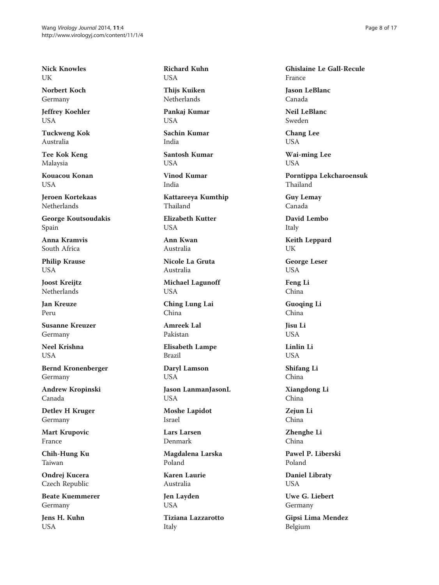Nick Knowles UK

Norbert Koch Germany

Jeffrey Koehler USA

Tuckweng Kok Australia

Tee Kok Keng Malaysia

Kouacou Konan USA

Jeroen Kortekaas Netherlands

George Koutsoudakis Spain

Anna Kramvis South Africa

Philip Krause USA

Joost Kreijtz Netherlands

Jan Kreuze Peru

Susanne Kreuzer Germany

Neel Krishna USA

Bernd Kronenberger Germany

Andrew Kropinski Canada

Detlev H Kruger Germany

Mart Krupovic France

Chih-Hung Ku Taiwan

Ondrej Kucera Czech Republic

Beate Kuemmerer Germany

Jens H. Kuhn USA

Richard Kuhn USA

Thijs Kuiken Netherlands

Pankaj Kumar **USA** 

Sachin Kumar India

Santosh Kumar **USA** 

Vinod Kumar India

Kattareeya Kumthip Thailand

Elizabeth Kutter USA

Ann Kwan Australia

Nicole La Gruta Australia

Michael Lagunoff USA

Ching Lung Lai China

Amreek Lal Pakistan

Elisabeth Lampe Brazil

Daryl Lamson USA

Jason LanmanJasonL USA

Moshe Lapidot Israel

Lars Larsen Denmark

Magdalena Larska Poland

Karen Laurie Australia

Jen Layden USA

Tiziana Lazzarotto Italy

Ghislaine Le Gall-Recule France

Jason LeBlanc Canada

Neil LeBlanc Sweden

Chang Lee USA

Wai-ming Lee USA

Porntippa Lekcharoensuk Thailand

Guy Lemay Canada

David Lembo Italy

Keith Leppard UK

George Leser USA

Feng Li China

Guoqing Li China

Jisu Li **USA** 

Linlin Li USA

Shifang Li China

Xiangdong Li China

Zejun Li China

Zhenghe Li China

Pawel P. Liberski Poland

Daniel Libraty USA

Uwe G. Liebert Germany

Gipsi Lima Mendez Belgium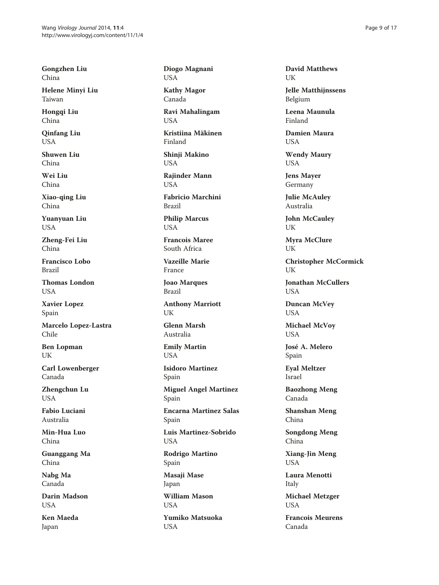Gongzhen Liu China

Helene Minyi Liu Taiwan

Hongqi Liu China

Qinfang Liu USA

Shuwen Liu China

Wei Liu China

Xiao-qing Liu China

Yuanyuan Liu USA

Zheng-Fei Liu China

Francisco Lobo Brazil

Thomas London **USA** 

Xavier Lopez Spain

Marcelo Lopez-Lastra Chile

Ben Lopman UK

Carl Lowenberger Canada

Zhengchun Lu USA

Fabio Luciani Australia

Min-Hua Luo China

Guanggang Ma China

Nabg Ma Canada

Darin Madson **USA** 

Ken Maeda Japan

Diogo Magnani USA

Kathy Magor Canada

Ravi Mahalingam **USA** 

Kristiina Mäkinen Finland

Shinji Makino USA

Rajinder Mann USA

Fabricio Marchini Brazil

Philip Marcus USA

Francois Maree South Africa

Vazeille Marie France

Joao Marques Brazil

Anthony Marriott UK

Glenn Marsh Australia

Emily Martin **USA** 

Isidoro Martinez Spain

Miguel Angel Martinez Spain

Encarna Martinez Salas Spain

Luis Martinez-Sobrido USA

Rodrigo Martino Spain Masaji Mase Japan

William Mason **USA** 

Yumiko Matsuoka USA

David Matthews UK

Jelle Matthijnssens Belgium

Leena Maunula Finland

Damien Maura USA

Wendy Maury USA

Jens Mayer Germany

Julie McAuley Australia

John McCauley UK

Myra McClure UK

Christopher McCormick UK

Jonathan McCullers USA

Duncan McVey USA

Michael McVoy USA

José A. Melero Spain

Eyal Meltzer Israel

Baozhong Meng Canada

Shanshan Meng China

Songdong Meng China

Xiang-Jin Meng USA

Laura Menotti Italy

Michael Metzger USA

Francois Meurens Canada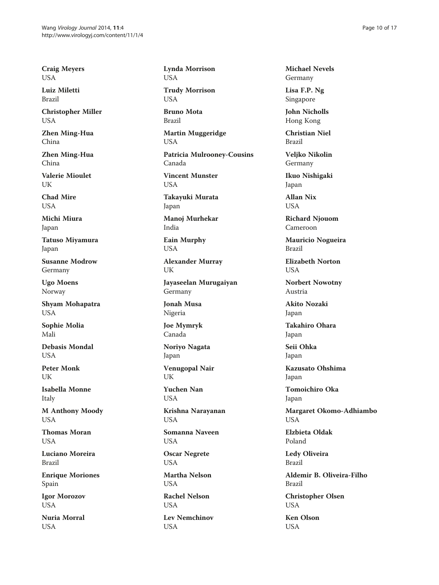Craig Meyers USA

Luiz Miletti Brazil

Christopher Miller USA

Zhen Ming-Hua China

Zhen Ming-Hua China

Valerie Mioulet UK

Chad Mire **I** IS A

Michi Miura Japan

Tatuso Miyamura Japan

Susanne Modrow Germany

Ugo Moens Norway

Shyam Mohapatra USA

Sophie Molia Mali

Debasis Mondal **USA** 

Peter Monk UK

Isabella Monne Italy

M Anthony Moody USA

Thomas Moran **USA** 

Luciano Moreira Brazil

Enrique Moriones Spain

Igor Morozov USA

Nuria Morral USA

Lynda Morrison USA Trudy Morrison USA Bruno Mota Brazil Martin Muggeridge USA Patricia Mulrooney-Cousins

Vincent Munster USA

Canada

Takayuki Murata Japan

Manoj Murhekar India

Eain Murphy USA

Alexander Murray UK

Jayaseelan Murugaiyan Germany

Jonah Musa Nigeria

Joe Mymryk Canada

Noriyo Nagata Japan

Venugopal Nair UK

Yuchen Nan USA

Krishna Narayanan USA

Somanna Naveen USA

Oscar Negrete USA

Martha Nelson USA

Rachel Nelson **USA** 

Lev Nemchinov USA

Michael Nevels Germany

Lisa F.P. Ng Singapore

John Nicholls Hong Kong

Christian Niel Brazil

Veljko Nikolin Germany

Ikuo Nishigaki Japan

Allan Nix **I** IS A

Richard Njouom Cameroon

Mauricio Nogueira Brazil

Elizabeth Norton **USA** 

Norbert Nowotny Austria

Akito Nozaki Japan

Takahiro Ohara Japan

Seii Ohka Japan

Kazusato Ohshima Japan

Tomoichiro Oka Japan

Margaret Okomo-Adhiambo USA

Elzbieta Oldak Poland

Ledy Oliveira Brazil

Aldemir B. Oliveira-Filho Brazil

Christopher Olsen USA

Ken Olson USA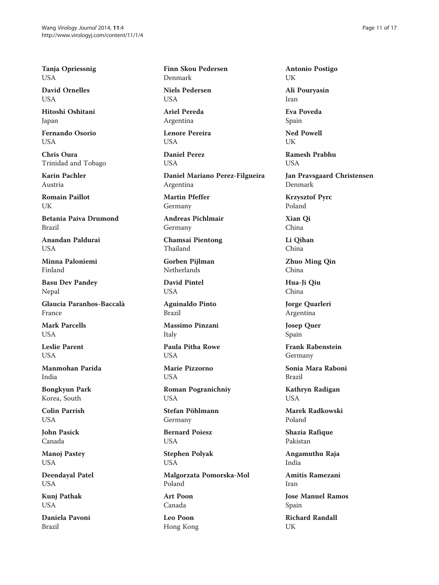Tanja Opriessnig USA

David Ornelles USA

Hitoshi Oshitani Japan

Fernando Osorio USA

Chris Oura Trinidad and Tobago

Karin Pachler Austria

Romain Paillot I IK

Betania Paiva Drumond Brazil

Anandan Paldurai **USA** 

Minna Paloniemi Finland

Basu Dev Pandey Nepal

Glaucia Paranhos-Baccalà France

Mark Parcells **USA** 

Leslie Parent **USA** 

Manmohan Parida India

Bongkyun Park Korea, South

Colin Parrish USA

John Pasick Canada

Manoj Pastey USA

Deendayal Patel USA

Kunj Pathak USA

Daniela Pavoni Brazil

Finn Skou Pedersen Denmark

Niels Pedersen USA

Ariel Pereda Argentina

Lenore Pereira USA

Daniel Perez USA

Daniel Mariano Perez-Filgueira Argentina

Martin Pfeffer Germany

Andreas Pichlmair Germany

Chamsai Pientong Thailand

Gorben Pijlman Netherlands

David Pintel USA

Aguinaldo Pinto Brazil

Massimo Pinzani Italy

Paula Pitha Rowe **USA** 

Marie Pizzorno **USA** 

Roman Pogranichniy USA

Stefan Pöhlmann Germany

Bernard Poiesz USA

Stephen Polyak USA

Malgorzata Pomorska-Mol Poland

Art Poon Canada

Leo Poon Hong Kong Antonio Postigo UK

Ali Pouryasin Iran

Eva Poveda Spain

Ned Powell UK

Ramesh Prabhu **LISA** 

Jan Pravsgaard Christensen Denmark

Krzysztof Pyrc Poland

Xian Qi China

Li Qihan China

Zhuo Ming Qin China

Hua-Ji Qiu China

Jorge Quarleri Argentina

Josep Quer Spain

Frank Rabenstein Germany

Sonia Mara Raboni Brazil

Kathryn Radigan USA

Marek Radkowski Poland

Shazia Rafique Pakistan

Angamuthu Raja India

Amitis Ramezani Iran

Jose Manuel Ramos Spain

Richard Randall UK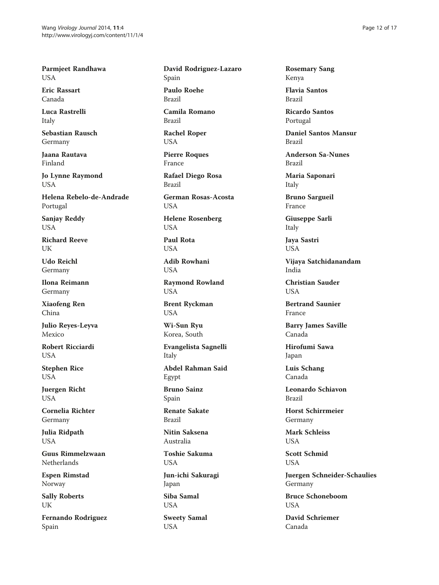Parmjeet Randhawa USA

Eric Rassart Canada

Luca Rastrelli Italy

Sebastian Rausch Germany

Jaana Rautava Finland

Jo Lynne Raymond USA

Helena Rebelo-de-Andrade Portugal

Sanjay Reddy USA

Richard Reeve **I** IK

Udo Reichl Germany

Ilona Reimann Germany

Xiaofeng Ren China

Julio Reyes-Leyva Mexico

Robert Ricciardi USA

Stephen Rice **USA** 

Juergen Richt USA

Cornelia Richter Germany

Julia Ridpath USA

Guus Rimmelzwaan Netherlands

Espen Rimstad Norway

Sally Roberts UK

Fernando Rodriguez Spain

David Rodriguez-Lazaro Spain

Paulo Roehe Brazil

Camila Romano Brazil

Rachel Roper USA

Pierre Roques France

Rafael Diego Rosa Brazil

German Rosas-Acosta **USA** 

Helene Rosenberg USA

Paul Rota USA

Adib Rowhani **USA** 

Raymond Rowland USA

Brent Ryckman USA

Wi-Sun Ryu Korea, South

Evangelista Sagnelli Italy

Abdel Rahman Said Egypt

Bruno Sainz Spain

Renate Sakate Brazil

Nitin Saksena Australia

Toshie Sakuma USA

Jun-ichi Sakuragi Japan

Siba Samal USA

Sweety Samal USA

Rosemary Sang Kenya

Flavia Santos Brazil

Ricardo Santos Portugal

Daniel Santos Mansur Brazil

Anderson Sa-Nunes Brazil

Maria Saponari Italy

Bruno Sargueil France

Giuseppe Sarli Italy

Jaya Sastri USA

Vijaya Satchidanandam India

Christian Sauder **USA** 

Bertrand Saunier France

Barry James Saville Canada

Hirofumi Sawa Japan

Luis Schang Canada

Leonardo Schiavon Brazil

Horst Schirrmeier Germany

Mark Schleiss USA

Scott Schmid USA

Juergen Schneider-Schaulies Germany

Bruce Schoneboom **USA** 

David Schriemer Canada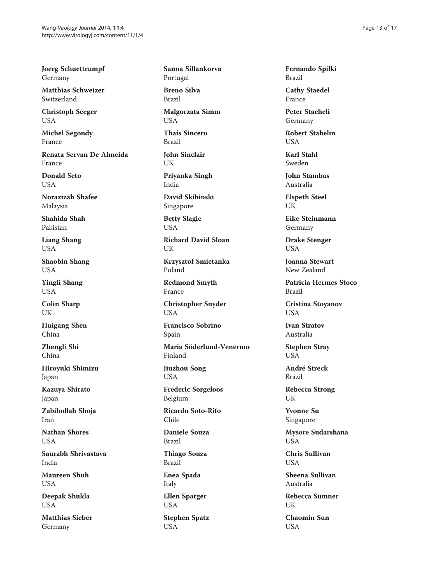Joerg Schuettrumpf Germany

Matthias Schweizer Switzerland

Christoph Seeger USA

Michel Segondy France

Renata Servan De Almeida France

Donald Seto USA

Norazizah Shafee Malaysia

Shahida Shah Pakistan

Liang Shang USA

Shaobin Shang USA

Yingli Shang USA

Colin Sharp UK

Huigang Shen China

Zhengli Shi China

Hiroyuki Shimizu Japan

Kazuya Shirato Japan

Zabihollah Shoja Iran

Nathan Shores USA

Saurabh Shrivastava India

Maureen Shuh USA

Deepak Shukla USA

Matthias Sieber Germany

Sanna Sillankorva Portugal

Breno Silva Brazil

Malgorzata Simm **USA** 

Thaís Sincero Brazil

John Sinclair UK

Priyanka Singh India

David Skibinski Singapore

Betty Slagle USA

Richard David Sloan UK

Krzysztof Smietanka Poland

Redmond Smyth France

Christopher Snyder USA

Francisco Sobrino Spain

Maria Söderlund-Venermo Finland

Jiuzhou Song USA

Frederic Sorgeloos Belgium

Ricardo Soto-Rifo Chile

Daniele Souza Brazil

Thiago Souza Brazil

Enea Spada Italy

Ellen Sparger USA

Stephen Spatz USA

Fernando Spilki Brazil

Cathy Staedel France

Peter Staeheli Germany

Robert Stahelin USA

Karl Stahl Sweden

John Stambas Australia

Elspeth Steel UK

Eike Steinmann Germany

Drake Stenger USA

Joanna Stewart New Zealand

Patricia Hermes Stoco Brazil

Cristina Stoyanov USA

Ivan Stratov Australia

Stephen Stray **USA** 

André Streck Brazil

Rebecca Strong UK

Yvonne Su Singapore

Mysore Sudarshana USA

Chris Sullivan USA

Sheena Sullivan Australia

Rebecca Sumner UK

Chaomin Sun USA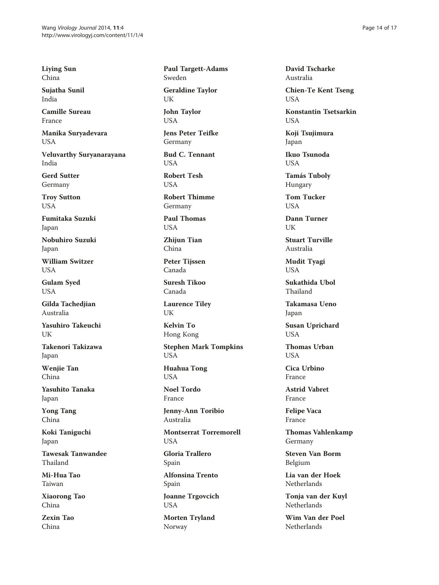Liying Sun China

Sujatha Sunil India

Camille Sureau France

Manika Suryadevara USA

Veluvarthy Suryanarayana India

Gerd Sutter Germany

Troy Sutton USA

Fumitaka Suzuki Japan

Nobuhiro Suzuki Japan

William Switzer **USA** 

Gulam Syed USA

Gilda Tachedjian Australia

Yasuhiro Takeuchi I IK

Takenori Takizawa Japan

Wenjie Tan China

Yasuhito Tanaka Japan

Yong Tang China

Koki Taniguchi Japan

Tawesak Tanwandee Thailand

Mi-Hua Tao Taiwan

Xiaorong Tao China

Zexin Tao China

Paul Targett-Adams Sweden

Geraldine Taylor UK

John Taylor **USA** 

Jens Peter Teifke Germany

Bud C. Tennant **I** ISA

Robert Tesh **USA** 

Robert Thimme Germany

Paul Thomas USA

Zhijun Tian China

Peter Tijssen Canada

Suresh Tikoo Canada

Laurence Tiley UK

Kelvin To Hong Kong

Stephen Mark Tompkins USA

Huahua Tong USA

Noel Tordo France

Jenny-Ann Toribio Australia

Montserrat Torremorell USA

Gloria Trallero Spain

Alfonsina Trento Spain

Joanne Trgovcich USA

Morten Tryland Norway

David Tscharke Australia

Chien-Te Kent Tseng USA

Konstantin Tsetsarkin **USA** 

Koji Tsujimura Japan

Ikuo Tsunoda **I** ISA

Tamás Tuboly Hungary

Tom Tucker **I** IS A

Dann Turner UK

Stuart Turville Australia

Mudit Tyagi USA

Sukathida Ubol Thailand

Takamasa Ueno Japan

Susan Uprichard **USA** 

Thomas Urban **USA** 

Cica Urbino France

Astrid Vabret France

Felipe Vaca France

Thomas Vahlenkamp Germany

Steven Van Borm Belgium

Lia van der Hoek Netherlands

Tonja van der Kuyl Netherlands

Wim Van der Poel Netherlands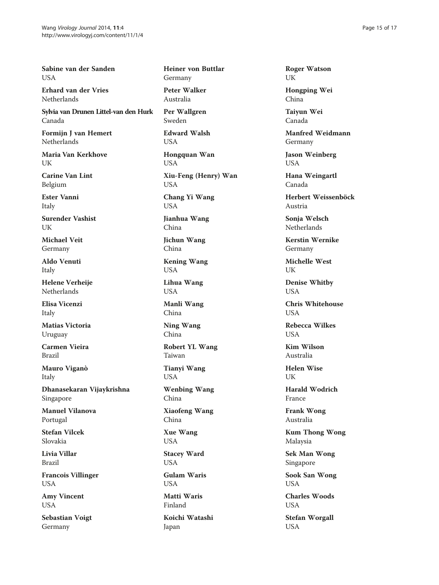Sabine van der Sanden **I** IS A

Erhard van der Vries Netherlands

Sylvia van Drunen Littel-van den Hurk Canada

Formijn J van Hemert Netherlands

Maria Van Kerkhove **I** IK

Carine Van Lint Belgium

Ester Vanni Italy

Surender Vashist UK

Michael Veit Germany

Aldo Venuti Italy

Helene Verheije Netherlands

Elisa Vicenzi Italy

Matias Victoria Uruguay

Carmen Vieira Brazil

Mauro Viganò Italy

Dhanasekaran Vijaykrishna Singapore

Manuel Vilanova Portugal

Stefan Vilcek Slovakia

Livia Villar Brazil

Francois Villinger USA

Amy Vincent USA

Sebastian Voigt Germany

### Heiner von Buttlar Germany

Peter Walker Australia

Per Wallgren Sweden

Edward Walsh USA

Hongquan Wan USA

Xiu-Feng (Henry) Wan USA

Chang Yi Wang USA

Jianhua Wang China

Jichun Wang China

Kening Wang USA

Lihua Wang USA

Manli Wang China

Ning Wang China

Robert YL Wang Taiwan

Tianyi Wang USA

Wenbing Wang China

Xiaofeng Wang China

Xue Wang USA

Stacey Ward

USA Gulam Waris

USA Matti Waris

Finland

Koichi Watashi Japan

Roger Watson UK

Hongping Wei China

Taiyun Wei Canada

Manfred Weidmann Germany

Jason Weinberg USA

Hana Weingartl Canada

Herbert Weissenböck Austria

Sonja Welsch Netherlands

Kerstin Wernike Germany

Michelle West UK

Denise Whitby **USA** 

Chris Whitehouse **USA** 

Rebecca Wilkes **USA** 

Kim Wilson Australia

Helen Wise UK

Harald Wodrich France

Frank Wong Australia

Kum Thong Wong Malaysia

Sek Man Wong Singapore

Sook San Wong USA

Charles Woods USA

Stefan Worgall USA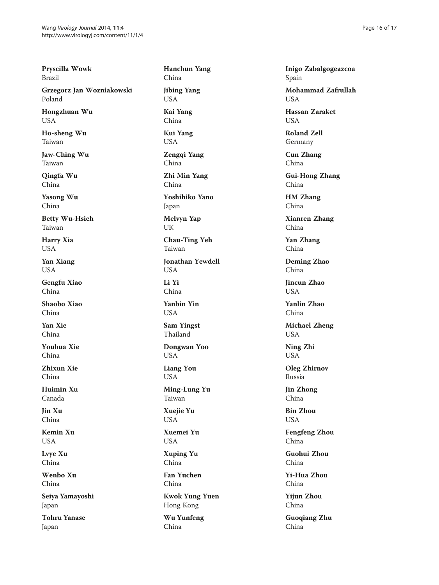Pryscilla Wowk Brazil

Grzegorz Jan Wozniakowski Poland

Hongzhuan Wu USA

Ho-sheng Wu Taiwan

Jaw-Ching Wu Taiwan

Qingfa Wu China

Yasong Wu China

Betty Wu-Hsieh Taiwan

Harry Xia USA

Yan Xiang USA

Gengfu Xiao China

Shaobo Xiao China

Yan Xie China

Youhua Xie China

Zhixun Xie China

Huimin Xu Canada

Jin Xu China

Kemin Xu USA

Lvye Xu China

Wenbo Xu China

Seiya Yamayoshi Japan

Tohru Yanase Japan

Hanchun Yang China Jibing Yang USA Kai Yang China Kui Yang USA Zengqi Yang China Zhi Min Yang China Yoshihiko Yano Japan Melvyn Yap UK Chau-Ting Yeh Taiwan Jonathan Yewdell USA Li Yi China Yanbin Yin USA Sam Yingst Thailand Dongwan Yoo USA Liang You USA Ming-Lung Yu Taiwan Xuejie Yu USA Xuemei Yu USA Xuping Yu China Fan Yuchen China Kwok Yung Yuen Hong Kong Wu Yunfeng China

Inigo Zabalgogeazcoa Spain

Mohammad Zafrullah **I** ISA

Hassan Zaraket **USA** 

Roland Zell Germany

Cun Zhang China

Gui-Hong Zhang China

HM Zhang China

Xianren Zhang China

Yan Zhang China

Deming Zhao China

Jincun Zhao **USA** 

Yanlin Zhao China

Michael Zheng USA

Ning Zhi USA

Oleg Zhirnov Russia

Jin Zhong China

Bin Zhou USA

Fengfeng Zhou China

Guohui Zhou China

Yi-Hua Zhou China

Yijun Zhou China

Guoqiang Zhu China